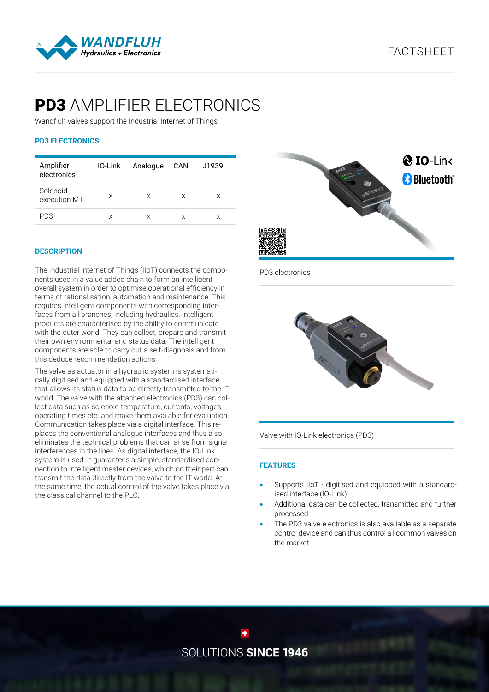

# **PD3** AMPLIFIER ELECTRONICS

Wandfluh valves support the Industrial Internet of Things

# **PD3 ELECTRONICS**

| Amplifier<br>electronics |   | IO-Link Analogue CAN |   | J1939 |
|--------------------------|---|----------------------|---|-------|
| Solenoid<br>execution MT | X | X                    | X | X     |
| PD3                      | X | X                    | X | X     |

## **DESCRIPTION**

The Industrial Internet of Things (IIoT) connects the components used in a value added chain to form an intelligent overall system in order to optimise operational efficiency in terms of rationalisation, automation and maintenance. This requires intelligent components with corresponding interfaces from all branches, including hydraulics. Intelligent products are characterised by the ability to communicate with the outer world. They can collect, prepare and transmit their own environmental and status data. The intelligent components are able to carry out a self-diagnosis and from this deduce recommendation actions.

The valve as actuator in a hydraulic system is systematically digitised and equipped with a standardised interface that allows its status data to be directly transmitted to the IT world. The valve with the attached electronics (PD3) can collect data such as solenoid temperature, currents, voltages, operating times etc. and make them available for evaluation. Communication takes place via a digital interface. This replaces the conventional analogue interfaces and thus also eliminates the technical problems that can arise from signal interferences in the lines. As digital interface, the IO-Link system is used. It guarantees a simple, standardised connection to intelligent master devices, which on their part can transmit the data directly from the valve to the IT world. At the same time, the actual control of the valve takes place via the classical channel to the PLC.



PD3 electronics



Valve with IO-Link electronics (PD3)

# **FEATURES**

- Supports IIoT digitised and equipped with a standardised interface (IO-Link)
- Additional data can be collected, transmitted and further processed
- The PD3 valve electronics is also available as a separate control device and can thus control all common valves on the market